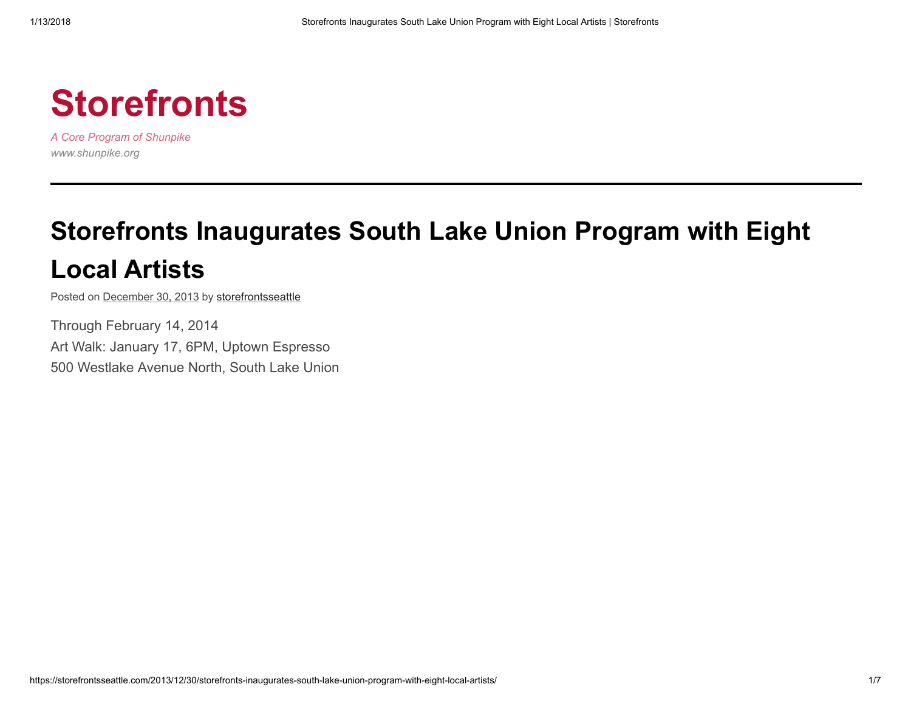

A Core Program of Shunpike www.shunpike.org

# Storefronts [Inaugurates](https://storefrontsseattle.com/2013/12/30/storefronts-inaugurates-south-lake-union-program-with-eight-local-artists/) South Lake Union Program with Eight Local Artists

Posted on [December](https://storefrontsseattle.com/2013/12/30/storefronts-inaugurates-south-lake-union-program-with-eight-local-artists/) 30, 2013 by [storefrontsseattle](https://storefrontsseattle.com/author/storefrontsseattle/)

Through February 14, 2014 Art Walk: January 17, 6PM, Uptown Espresso 500 Westlake Avenue North, South Lake Union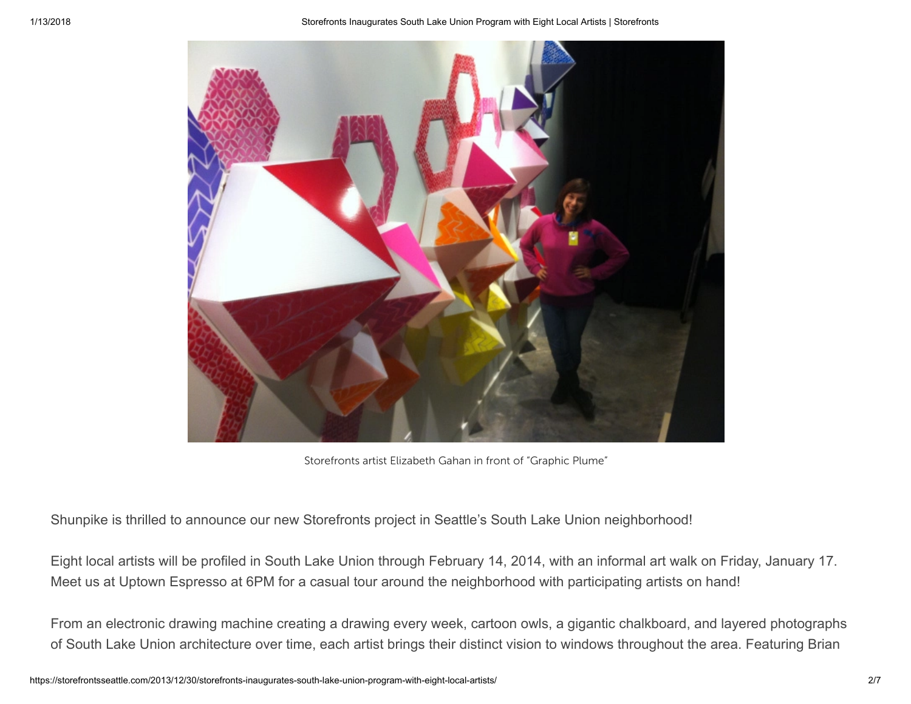

Storefronts artist Elizabeth Gahan in front of "Graphic Plume"

Shunpike is thrilled to announce our new Storefronts project in Seattle's South Lake Union neighborhood!

Eight local artists will be profiled in South Lake Union through February 14, 2014, with an informal art walk on Friday, January 17. Meet us at Uptown Espresso at 6PM for a casual tour around the neighborhood with participating artists on hand!

From an electronic drawing machine creating a drawing every week, cartoon owls, a gigantic chalkboard, and layered photographs of South Lake Union architecture over time, each artist brings their distinct vision to windows throughout the area. Featuring Brian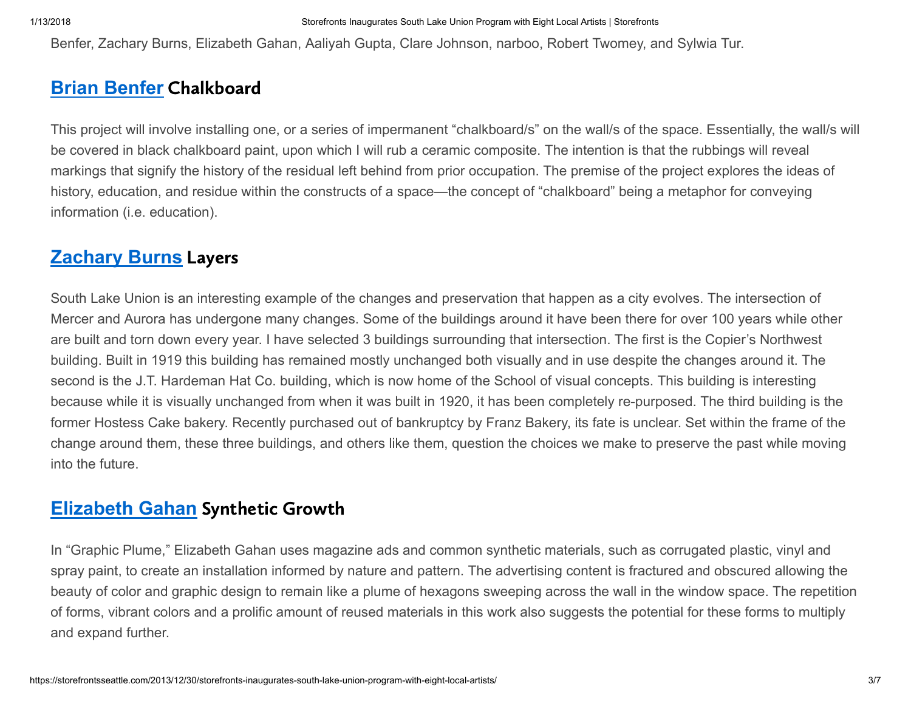Benfer, Zachary Burns, Elizabeth Gahan, Aaliyah Gupta, Clare Johnson, narboo, Robert Twomey, and Sylwia Tur.

# Brian [Benfer](http://www.brianbenfer.com/) Chalkboard

This project will involve installing one, or a series of impermanent "chalkboard/s" on the wall/s of the space. Essentially, the wall/s will be covered in black chalkboard paint, upon which I will rub a ceramic composite. The intention is that the rubbings will reveal markings that signify the history of the residual left behind from prior occupation. The premise of the project explores the ideas of history, education, and residue within the constructs of a space—the concept of "chalkboard" being a metaphor for conveying information (i.e. education).

# **[Zachary](http://zlburns.com/) Burns Layers**

South Lake Union is an interesting example of the changes and preservation that happen as a city evolves. The intersection of Mercer and Aurora has undergone many changes. Some of the buildings around it have been there for over 100 years while other are built and torn down every year. I have selected 3 buildings surrounding that intersection. The first is the Copier's Northwest building. Built in 1919 this building has remained mostly unchanged both visually and in use despite the changes around it. The second is the J.T. Hardeman Hat Co. building, which is now home of the School of visual concepts. This building is interesting because while it is visually unchanged from when it was built in 1920, it has been completely re-purposed. The third building is the former Hostess Cake bakery. Recently purchased out of bankruptcy by Franz Bakery, its fate is unclear. Set within the frame of the change around them, these three buildings, and others like them, question the choices we make to preserve the past while moving into the future.

# [Elizabeth](http://www.elizabethgahan.com/) Gahan Synthetic Growth

In "Graphic Plume," Elizabeth Gahan uses magazine ads and common synthetic materials, such as corrugated plastic, vinyl and spray paint, to create an installation informed by nature and pattern. The advertising content is fractured and obscured allowing the beauty of color and graphic design to remain like a plume of hexagons sweeping across the wall in the window space. The repetition of forms, vibrant colors and a prolific amount of reused materials in this work also suggests the potential for these forms to multiply and expand further.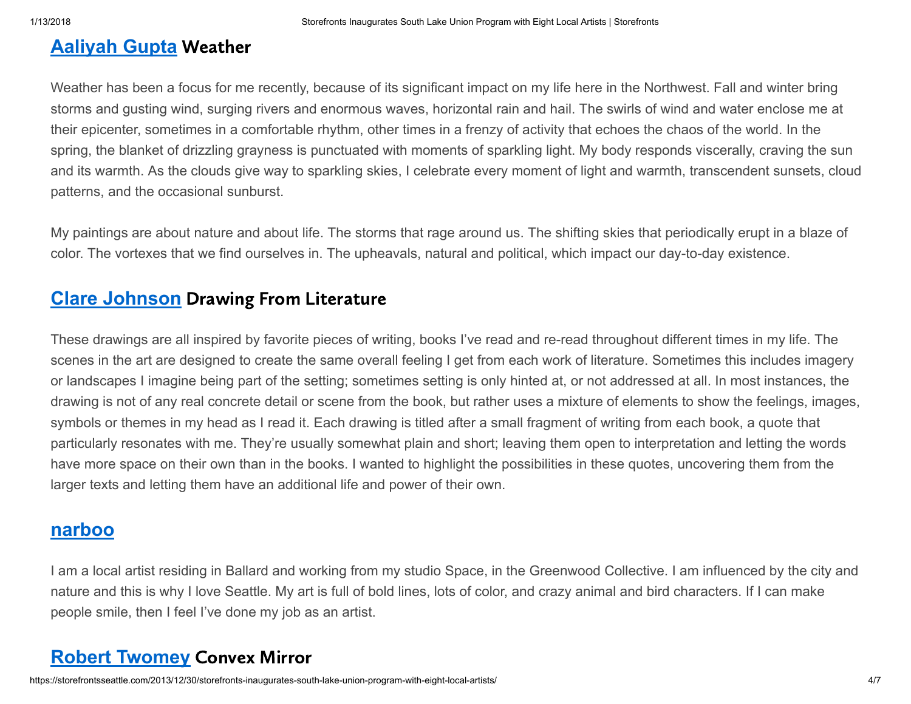# [Aaliyah](http://www.aaliyahgupta.net/) Gupta Weather

Weather has been a focus for me recently, because of its significant impact on my life here in the Northwest. Fall and winter bring storms and gusting wind, surging rivers and enormous waves, horizontal rain and hail. The swirls of wind and water enclose me at their epicenter, sometimes in a comfortable rhythm, other times in a frenzy of activity that echoes the chaos of the world. In the spring, the blanket of drizzling grayness is punctuated with moments of sparkling light. My body responds viscerally, craving the sun and its warmth. As the clouds give way to sparkling skies, I celebrate every moment of light and warmth, transcendent sunsets, cloud patterns, and the occasional sunburst.

My paintings are about nature and about life. The storms that rage around us. The shifting skies that periodically erupt in a blaze of color. The vortexes that we find ourselves in. The upheavals, natural and political, which impact our day-to-day existence.

### **Clare [Johnson](http://www.clarejohnson.com/)** Drawing From Literature

These drawings are all inspired by favorite pieces of writing, books I've read and re-read throughout different times in my life. The scenes in the art are designed to create the same overall feeling I get from each work of literature. Sometimes this includes imagery or landscapes I imagine being part of the setting; sometimes setting is only hinted at, or not addressed at all. In most instances, the drawing is not of any real concrete detail or scene from the book, but rather uses a mixture of elements to show the feelings, images, symbols or themes in my head as I read it. Each drawing is titled after a small fragment of writing from each book, a quote that particularly resonates with me. They're usually somewhat plain and short; leaving them open to interpretation and letting the words have more space on their own than in the books. I wanted to highlight the possibilities in these quotes, uncovering them from the larger texts and letting them have an additional life and power of their own.

### [narboo](http://www.narboo.com/)

I am a local artist residing in Ballard and working from my studio Space, in the Greenwood Collective. I am influenced by the city and nature and this is why I love Seattle. My art is full of bold lines, lots of color, and crazy animal and bird characters. If I can make people smile, then I feel I've done my job as an artist.

# Robert [Twomey](http://roberttwomey.com/) Convex Mirror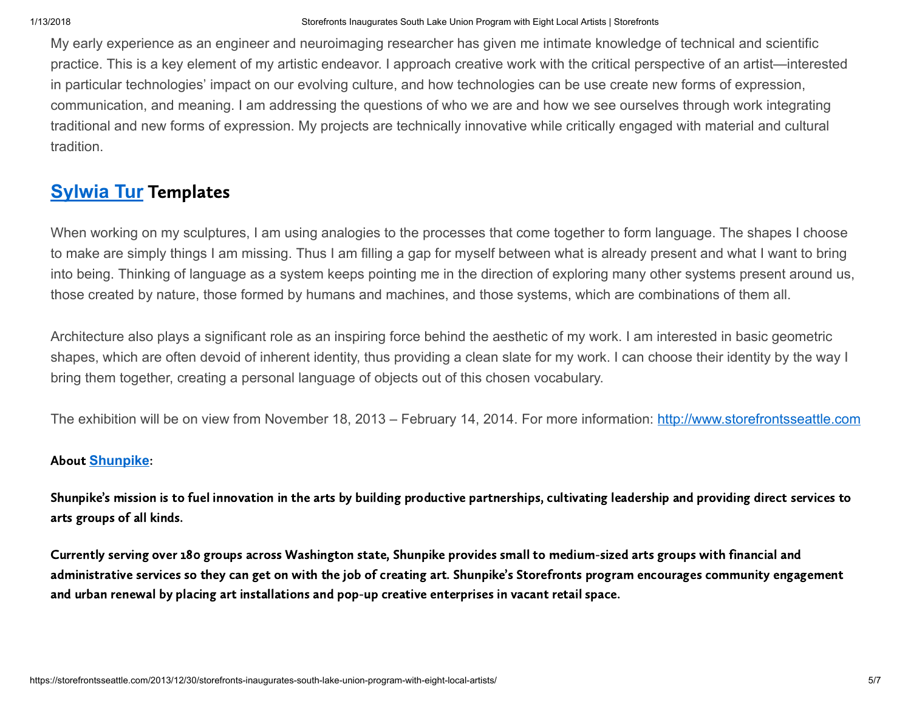My early experience as an engineer and neuroimaging researcher has given me intimate knowledge of technical and scientific practice. This is a key element of my artistic endeavor. I approach creative work with the critical perspective of an artist—interested in particular technologies' impact on our evolving culture, and how technologies can be use create new forms of expression, communication, and meaning. I am addressing the questions of who we are and how we see ourselves through work integrating traditional and new forms of expression. My projects are technically innovative while critically engaged with material and cultural tradition.

# **[Sylwia](http://sylwiatur.com/) Tur Templates**

When working on my sculptures, I am using analogies to the processes that come together to form language. The shapes I choose to make are simply things I am missing. Thus I am filling a gap for myself between what is already present and what I want to bring into being. Thinking of language as a system keeps pointing me in the direction of exploring many other systems present around us, those created by nature, those formed by humans and machines, and those systems, which are combinations of them all.

Architecture also plays a significant role as an inspiring force behind the aesthetic of my work. I am interested in basic geometric shapes, which are often devoid of inherent identity, thus providing a clean slate for my work. I can choose their identity by the way I bring them together, creating a personal language of objects out of this chosen vocabulary.

The exhibition will be on view from November 18, 2013 – February 14, 2014. For more information: [http://www.storefrontsseattle.com](http://www.storefrontsseattle.com/)

#### About [Shunpike](http://www.shunpike.org/):

Shunpike's mission is to fuel innovation in the arts by building productive partnerships, cultivating leadership and providing direct services to arts groups of all kinds.

Currently serving over 180 groups across Washington state, Shunpike provides small to medium-sized arts groups with financial and administrative services so they can get on with the job of creating art. Shunpike's Storefronts program encourages community engagement and urban renewal by placing art installations and pop-up creative enterprises in vacant retail space.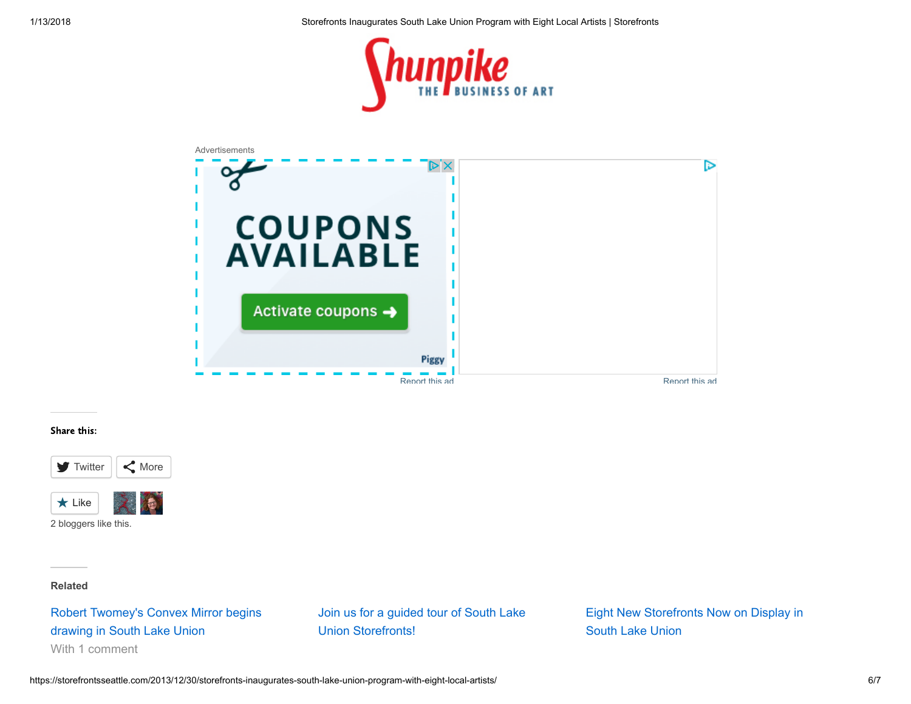



#### Share this:



2 bloggers like this.

Related

[Robert Twomey's Convex Mirror begins](https://storefrontsseattle.com/2013/12/06/robert-twomeys-convex-mirror-begins-drawing-in-south-lake-union/) drawing in South Lake Union With 1 comment

[Join us for a guided tour of South Lake](https://storefrontsseattle.com/2014/07/22/join-us-for-a-guided-tour-of-south-lake-union-storefronts/) Union Storefronts!

[Eight New Storefronts Now on Display in](https://storefrontsseattle.com/2017/11/21/eight-new-storefronts-now-on-display-in-south-lake-union-2/) South Lake Union

https://storefrontsseattle.com/2013/12/30/storefronts-inaugurates-south-lake-union-program-with-eight-local-artists/ 6/7